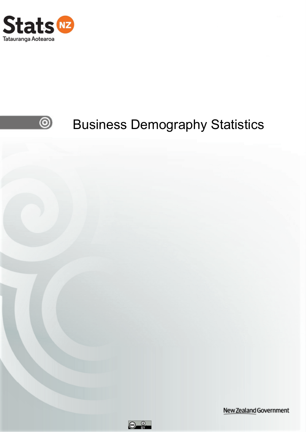



New Zealand Government

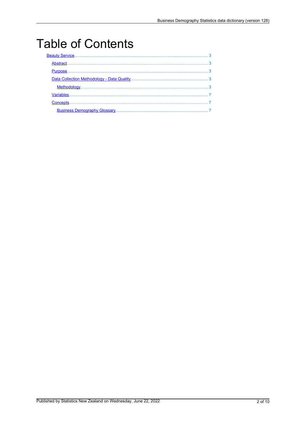# **Table of Contents**

| Abstract. | 3            |
|-----------|--------------|
|           |              |
|           |              |
|           | $\mathbf{R}$ |
|           |              |
| Concepts. |              |
|           |              |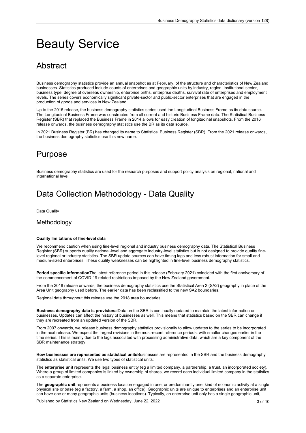# <span id="page-2-0"></span>Beauty Service

# **Abstract**

Business demography statistics provide an annual snapshot as at February, of the structure and characteristics of New Zealand businesses. Statistics produced include counts of enterprises and geographic units by industry, region, institutional sector, business type, degree of overseas ownership, enterprise births, enterprise deaths, survival rate of enterprises and employment levels. The series covers economically significant private-sector and public-sector enterprises that are engaged in the production of goods and services in New Zealand.

Up to the 2015 release, the business demography statistics series used the Longitudinal Business Frame as its data source. The Longitudinal Business Frame was constructed from all current and historic Business Frame data. The Statistical Business Register (SBR) that replaced the Business Frame in 2014 allows for easy creation of longitudinal snapshots. From the 2016 release onwards, the business demography statistics use the BR as its data source.

In 2021 Business Register (BR) has changed its name to Statistical Business Register (SBR). From the 2021 release onwards, the business demography statistics use this new name.

## Purpose

Business demography statistics are used for the research purposes and support policy analysis on regional, national and international level.

## Data Collection Methodology - Data Quality

Data Quality

#### **Methodology**

#### **Quality limitations of fine-level data**

We recommend caution when using fine-level regional and industry business demography data. The Statistical Business Register (SBR) supports quality national-level and aggregate industry-level statistics but is not designed to provide quality finelevel regional or industry statistics. The SBR update sources can have timing lags and less robust information for small and medium-sized enterprises. These quality weaknesses can be highlighted in fine-level business demography statistics.

**Period specific information**The latest reference period in this release (February 2021) coincided with the first anniversary of the commencement of COVID-19 related restrictions imposed by the New Zealand government.

From the 2018 release onwards, the business demography statistics use the Statistical Area 2 (SA2) geography in place of the Area Unit geography used before. The earlier data has been reclassified to the new SA2 boundaries.

Regional data throughout this release use the 2018 area boundaries.

**Business demography data is provisional**Data on the SBR is continually updated to maintain the latest information on businesses. Updates can affect the history of businesses as well. This means that statistics based on the SBR can change if they are recreated from an updated version of the SBR.

From 2007 onwards, we release business demography statistics provisionally to allow updates to the series to be incorporated in the next release. We expect the largest revisions in the most-recent reference periods, with smaller changes earlier in the time series. This is mainly due to the lags associated with processing administrative data, which are <sup>a</sup> key component of the SBR maintenance strategy.

**How businesses are represented as statistical units**Businesses are represented in the SBR and the business demography statistics as statistical units. We use two types of statistical units:

The **enterprise unit** represents the legal business entity (eg <sup>a</sup> limited company, <sup>a</sup> partnership, <sup>a</sup> trust, an incorporated society). Where <sup>a</sup> group of limited companies is linked by ownership of shares, we record each individual limited company in the statistics as <sup>a</sup> separate enterprise.

The **geographic unit** represents <sup>a</sup> business location engaged in one, or predominantly one, kind of economic activity at <sup>a</sup> single physical site or base (eg a factory, a farm, a shop, an office). Geographic units are unique to enterprises and an enterprise unit can have one or many geographic units (business locations). Typically, an enterprise unit only has <sup>a</sup> single geographic unit,

Published by Statistics New Zealand on Wednesday, June 22, 2022 3 06 3 of 10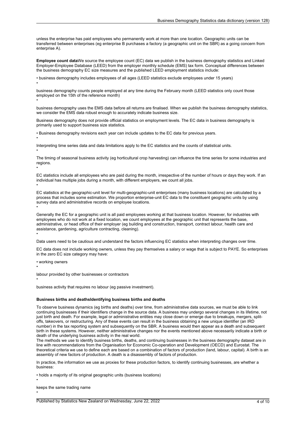unless the enterprise has paid employees who permanently work at more than one location. Geographic units can be transferred between enterprises (eg enterprise B purchases <sup>a</sup> factory (a geographic unit on the SBR) as <sup>a</sup> going concern from enterprise A).

**Employee count data**We source the employee count (EC) data we publish in the business demography statistics and Linked Employer-Employee Database (LEED) from the employer monthly schedule (EMS) tax form. Conceptual differences between the business demography EC size measures and the published LEED employment statistics include:

• business demography includes employees of all ages (LEED statistics exclude employees under 15 years) •

business demography counts people employed at any time during the February month (LEED statistics only count those employed on the 15th of the reference month)

business demography uses the EMS data before all returns are finalised. When we publish the business demography statistics, we consider the EMS data robust enough to accurately indicate business size.

Business demography does not provide official statistics on employment levels. The EC data in business demography is primarily used to support business size statistics.

• Business demography revisions each year can include updates to the EC data for previous years.

Interpreting time series data and data limitations apply to the EC statistics and the counts of statistical units.

The timing of seasonal business activity (eg horticultural crop harvesting) can influence the time series for some industries and regions.

EC statistics include all employees who are paid during the month, irrespective of the number of hours or days they work. If an individual has multiple jobs during <sup>a</sup> month, with different employers, we count all jobs.

EC statistics at the geographic-unit level for multi-geographic-unit enterprises (many business locations) are calculated by <sup>a</sup> process that includes some estimation. We proportion enterprise-unit EC data to the constituent geographic units by using survey data and administrative records on employee locations.

Generally the EC for <sup>a</sup> geographic unit is all paid employees working at that business location. However, for industries with employees who do not work at <sup>a</sup> fixed location, we count employees at the geographic unit that represents the base, administrative, or head office of their employer (eg building and construction, transport, contract labour, health care and assistance, gardening, agriculture contracting, cleaning).

Data users need to be cautious and understand the factors influencing EC statistics when interpreting changes over time.

EC data does not include working owners, unless they pay themselves <sup>a</sup> salary or wage that is subject to PAYE. So enterprises in the zero EC size category may have:

• working owners

•

•

•

•

•

•

•

•

•

•

•

labour provided by other businesses or contractors

business activity that requires no labour (eg passive investment).

#### **Business births and deathsIdentifying business births and deaths**

To observe business dynamics (eg births and deaths) over time, from administrative data sources, we must be able to link continuing businesses if their identifiers change in the source data. A business may undergo several changes in its lifetime, not just birth and death. For example, legal or administrative entities may close down or emerge due to breakups, mergers, splitoffs, takeovers, or restructuring. Any of these events can result in the business obtaining <sup>a</sup> new unique identifier (an IRD number) in the tax reporting system and subsequently on the SBR. A business would then appear as <sup>a</sup> death and subsequent birth in these systems. However, neither administrative changes nor the events mentioned above necessarily indicate <sup>a</sup> birth or death of the underlying business activity in the real world.

The methods we use to identify business births, deaths, and continuing businesses in the business demography dataset are in line with recommendations from the Organisation for Economic Co-operation and Development (OECD) and Eurostat. The theoretical criteria we use to define each are based on <sup>a</sup> combination of factors of production (land, labour, capital). A birth is an assembly of new factors of production. A death is <sup>a</sup> disassembly of factors of production.

In practice, the information we use as proxies for these production factors, to identify continuing businesses, are whether <sup>a</sup> business:

• holds <sup>a</sup> majority of its original geographic units (business locations)

keeps the same trading name

Published by Statistics New Zealand on Wednesday, June 22, 2022 4 of 10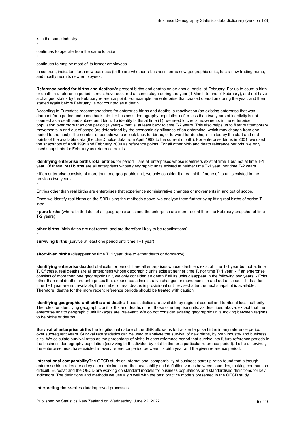is in the same industry

•

•

•

•

•

•

continues to operate from the same location

continues to employ most of its former employees.

In contrast, indicators for <sup>a</sup> new business (birth) are whether <sup>a</sup> business forms new geographic units, has <sup>a</sup> new trading name, and mostly recruits new employees.

**Reference period for births and deaths**We present births and deaths on an annual basis, at February. For us to count <sup>a</sup> birth or death in <sup>a</sup> reference period, it must have occurred at some stage during the year (1 March to end of February), and not have <sup>a</sup> changed status by the February reference point. For example, an enterprise that ceased operation during the year, and then started again before February, is not counted as <sup>a</sup> death.

According to Eurostat's recommendations for enterprise births and deaths, <sup>a</sup> reactivation (an existing enterprise that was dormant for <sup>a</sup> period and came back into the business demography population) after less than two years of inactivity is not counted as <sup>a</sup> death and subsequent birth. To identify births at time (T), we need to check movements in the enterprise population over more than one period (a year) – that is, at least back to time T-2 years. This also helps us to filter out temporary movements in and out of scope (as determined by the economic significance of an enterprise, which may change from one period to the next). The number of periods we can look back for births, or forward for deaths, is limited by the start and end points of the available data (the LEED holds data from April 1999 to the current month). For enterprise births in 2001, we used the snapshots of April 1999 and February 2000 as reference points. For all other birth and death reference periods, we only used snapshots for February as reference points.

**Identifying enterprise birthsTotal entries** for period T are all enterprises whose identifiers exist at time T but not at time T-1 year. Of these, **real births** are all enterprises whose geographic units existed at neither time T-1 year, nor time T-2 years.

• If an enterprise consists of more than one geographic unit, we only consider it <sup>a</sup> real birth if none of its units existed in the previous two years.

Entries other than real births are enterprises that experience administrative changes or movements in and out of scope.

Once we identify real births on the SBR using the methods above, we analyse them further by splitting real births of period T into:

• **pure births** (where birth dates of all geographic units and the enterprise are more recent than the February snapshot of time T-2 years)

**other births** (birth dates are not recent, and are therefore likely to be reactivations)

**surviving births** (survive at least one period until time T+1 year)

**short-lived births** (disappear by time T+1 year, due to either death or dormancy).

**Identifying enterprise deaths**Total exits for period T are all enterprises whose identifiers exist at time T-1 year but not at time T. Of these, real deaths are all enterprises whose geographic units exist at neither time T, nor time T+1 year. - If an enterprise consists of more than one geographic unit, we only consider it <sup>a</sup> death if all its units disappear in the following two years. - Exits other than real deaths are enterprises that experience administrative changes or movements in and out of scope. - If data for time T+1 year are not available, the number of real deaths is provisional until revised after the next snapshot is available. Therefore, deaths for the more recent reference periods should be treated with caution.

**Identifying geographic-unit births and deaths**These statistics are available by regional council and territorial local authority. The rules for identifying geographic unit births and deaths mirror those of enterprise units, as described above, except that the enterprise unit to geographic unit linkages are irrelevant. We do not consider existing geographic units moving between regions to be births or deaths.

**Survival of enterprise births**The longitudinal nature of the SBR allows us to track enterprise births in any reference period over subsequent years. Survival rate statistics can be used to analyse the survival of new births, by both industry and business size. We calculate survival rates as the percentage of births in each reference period that survive into future reference periods in the business demography population (surviving births divided by total births for <sup>a</sup> particular reference period). To be <sup>a</sup> survivor, the enterprise must have existed at every reference period between its birth year and the given reference period.

**International comparability**The OECD study on international comparability of business start-up rates found that although enterprise birth rates are <sup>a</sup> key economic indicator, their availability and definition varies between countries, making comparison difficult. Eurostat and the OECD are working on standard models for business populations and standardised definitions for key indicators. The definitions and methods we use align well with the best practice models presented in the OECD study.

#### **Interpreting time-series data**Improved processes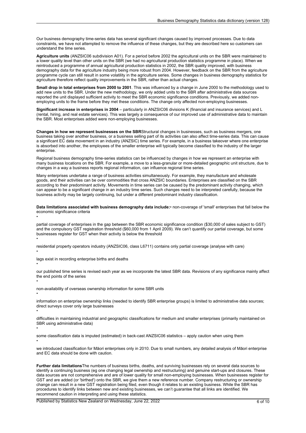Our business demography time-series data has several significant changes caused by improved processes. Due to data constraints, we have not attempted to remove the influence of these changes, but they are described here so customers can understand the time series.

**Agriculture units** (ANZSIC06 subdivision A01). For <sup>a</sup> period before 2002 the agricultural units on the SBR were maintained to <sup>a</sup> lower quality level than other units on the SBR (we had no agricultural production statistics programme in place). When we reintroduced <sup>a</sup> programme of annual agricultural production statistics in 2002, the SBR quality improved, with business demography data for the agriculture industry being more robust from 2004. However, feedback on the SBR from the agriculture programme cycle can still result in some volatility in the agriculture series. Some changes in business demography statistics for agriculture therefore reflect quality improvements in the SBR, rather than actual changes.

**Small drop in total enterprises from 2000 to 2001**. This was influenced by <sup>a</sup> change in June 2000 to the methodology used to add new units to the SBR. Under the new methodology, we only added units to the SBR after administrative data sources reported the unit displayed sufficient activity to meet the SBR economic significance conditions. Previously, we added nonemploying units to the frame before they met these conditions. The change only affected non-employing businesses.

**Significant increase in enterprises in 2004** – particularly in ANZSIC06 divisions K (financial and insurance services) and L (rental, hiring, and real estate services). This was largely <sup>a</sup> consequence of our improved use of administrative data to maintain the SBR. Most enterprises added were non-employing businesses.

**Changes in how we represent businesses on the SBR**Structural changes in businesses, such as business mergers, one business taking over another business, or <sup>a</sup> business selling part of its activities can also affect time-series data. This can cause <sup>a</sup> significant EC data movement in an industry (ANZSIC) time series. For example, in <sup>a</sup> business takeover where one enterprise is absorbed into another, the employees of the smaller enterprise will typically become classified to the industry of the larger enterprise

Regional business demography time-series statistics can be influenced by changes in how we represent an enterprise with many business locations on the SBR. For example, <sup>a</sup> move to <sup>a</sup> less-granular or more-detailed geographic unit structure, due to changes in <sup>a</sup> way <sup>a</sup> business reports regional information, can influence regional time series.

Many enterprises undertake <sup>a</sup> range of business activities simultaneously. For example, they manufacture and wholesale goods, and their activities can be over commodities that cross ANZSIC boundaries. Enterprises are classified on the SBR according to their predominant activity. Movements in time series can be caused by the predominant activity changing, which can appear to be <sup>a</sup> significant change in an industry time series. Such changes need to be interpreted carefully, because the business activity may be largely continuing, but under <sup>a</sup> different predominant industry classification.

**Data limitations associated with business demography data include:**• non-coverage of 'small' enterprises that fall below the economic significance criteria

partial coverage of enterprises in the gap between the SBR economic significance condition (\$30,000 of sales subject to GST) and the compulsory GST registration threshold (\$60,000 from 1 April 2009). We can't quantify our partial coverage, but some businesses register for GST when their activity is below the threshold

residential property operators industry (ANZSIC06, class L6711) contains only partial coverage (analyse with care)

lags exist in recording enterprise births and deaths

•

•

•

•

•

•

•

our published time series is revised each year as we incorporate the latest SBR data. Revisions of any significance mainly affect the end points of the series

non-availability of overseas ownership information for some SBR units

information on enterprise ownership links (needed to identify SBR enterprise groups) is limited to administrative data sources; direct surveys cover only large businesses

difficulties in maintaining industrial and geographic classifications for medium and smaller enterprises (primarily maintained on SBR using administrative data)

•

some classification data is imputed (estimated) in back-cast ANZSIC06 statistics – apply caution when using them •

we introduced classification for Māori enterprises only in 2010. Due to small numbers, any detailed analysis of Māori enterprise and EC data should be done with caution.

**Further data limitations**The numbers of business births, deaths, and surviving businesses rely on several data sources to identify <sup>a</sup> continuing business (eg one changing legal ownership and restructuring) and genuine start-ups and closures. These data sources are not comprehensive and are of lower quality for small non-employing businesses. When businesses register for GST and are added (or 'birthed') onto the SBR, we give them <sup>a</sup> new reference number. Company restructuring or ownership change can result in <sup>a</sup> new GST registration being filed, even though it relates to an existing business. While the SBR has procedures to identify links between new and existing businesses, we can't guarantee that all links are identified. We recommend caution in interpreting and using these statistics.

Published by Statistics New Zealand on Wednesday, June 22, 2022 6 of 10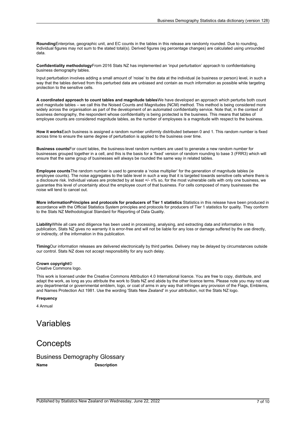<span id="page-6-0"></span>**Rounding**Enterprise, geographic unit, and EC counts in the tables in this release are randomly rounded. Due to rounding, individual figures may not sum to the stated total(s). Derived figures (eg percentage changes) are calculated using unrounded data.

**Confidentiality methodology**From 2016 Stats NZ has implemented an 'input perturbation' approach to confidentialising business demography tables.

Input perturbation involves adding <sup>a</sup> small amount of 'noise' to the data at the individual (ie business or person) level, in such <sup>a</sup> way that the tables derived from this perturbed data are unbiased and contain as much information as possible while targeting protection to the sensitive cells.

**A coordinated approach to count tables and magnitude tables**We have developed an approach which perturbs both count and magnitude tables – we call this the Noised Counts and Magnitudes (NCM) method. This method is being considered more widely across the organisation as part of the development of an automated confidentiality service. Note that, in the context of business demography, the respondent whose confidentiality is being protected is the business. This means that tables of employee counts are considered magnitude tables, as the number of employees is <sup>a</sup> magnitude with respect to the business.

**How it works**Each business is assigned <sup>a</sup> random number uniformly distributed between 0 and 1. This random number is fixed across time to ensure the same degree of perturbation is applied to the business over time.

**Business counts**For count tables, the business-level random numbers are used to generate <sup>a</sup> new random number for businesses grouped together in <sup>a</sup> cell, and this is the basis for <sup>a</sup> 'fixed' version of random rounding to base 3 (FRR3) which will ensure that the same group of businesses will always be rounded the same way in related tables.

**Employee counts**The random number is used to generate <sup>a</sup> 'noise multiplier' for the generation of magnitude tables (ie employee counts). The noise aggregates to the table level in such <sup>a</sup> way that it is targeted towards sensitive cells where there is <sup>a</sup> disclosure risk. Individual values are protected by at least +/- n% so, for the most vulnerable cells with only one business, we guarantee this level of uncertainty about the employee count of that business. For cells composed of many businesses the noise will tend to cancel out.

**More informationPrinciples and protocols for producers of Tier 1 statistics** Statistics in this release have been produced in accordance with the Official Statistics System principles and protocols for producers of Tier 1 statistics for quality. They conform to the Stats NZ Methodological Standard for Reporting of Data Quality.

**Liability**While all care and diligence has been used in processing, analysing, and extracting data and information in this publication, Stats NZ gives no warranty it is error-free and will not be liable for any loss or damage suffered by the use directly, or indirectly, of the information in this publication.

**Timing**Our information releases are delivered electronically by third parties. Delivery may be delayed by circumstances outside our control. Stats NZ does not accept responsibility for any such delay.

#### **Crown copyright**©

Creative Commons logo.

This work is licensed under the Creative Commons Attribution 4.0 International licence. You are free to copy, distribute, and adapt the work, as long as you attribute the work to Stats NZ and abide by the other licence terms. Please note you may not use any departmental or governmental emblem, logo, or coat of arms in any way that infringes any provision of the Flags, Emblems, and Names Protection Act 1981. Use the wording 'Stats New Zealand' in your attribution, not the Stats NZ logo.

#### **Frequency**

4 Annual

### Variables

### **Concepts**

Business Demography Glossary **Name Description**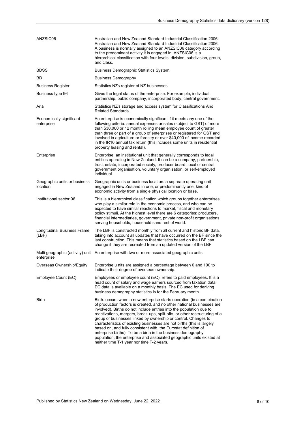| ANZSIC06                                 | Australian and New Zealand Standard Industrial Classification 2006.<br>Australian and New Zealand Standard Industrial Classification 2006.<br>A business is normally assigned to an ANZSIC06 category according<br>to the predominant activity it is engaged in. ANZSIC06 is a<br>hierarchical classification with four levels: division, subdivision, group,<br>and class.                                                                                                                                                                                                                                                                                                                                |
|------------------------------------------|------------------------------------------------------------------------------------------------------------------------------------------------------------------------------------------------------------------------------------------------------------------------------------------------------------------------------------------------------------------------------------------------------------------------------------------------------------------------------------------------------------------------------------------------------------------------------------------------------------------------------------------------------------------------------------------------------------|
| <b>BDSS</b>                              | Business Demographic Statistics System.                                                                                                                                                                                                                                                                                                                                                                                                                                                                                                                                                                                                                                                                    |
| BD                                       | Business Demography                                                                                                                                                                                                                                                                                                                                                                                                                                                                                                                                                                                                                                                                                        |
| <b>Business Register</b>                 | Statistics NZs register of NZ businesses                                                                                                                                                                                                                                                                                                                                                                                                                                                                                                                                                                                                                                                                   |
| Business type 96                         | Gives the legal status of the enterprise. For example, individual,<br>partnership, public company, incorporated body, central government.                                                                                                                                                                                                                                                                                                                                                                                                                                                                                                                                                                  |
| Ariā                                     | Statistics NZ's storage and access system for Classifications And<br><b>Related Standards.</b>                                                                                                                                                                                                                                                                                                                                                                                                                                                                                                                                                                                                             |
| Economically significant<br>enterprise   | An enterprise is economically significant if it meets any one of the<br>following criteria: annual expenses or sales (subject to GST) of more<br>than \$30,000 or 12 month rolling mean employee count of greater<br>than three or part of a group of enterprises or registered for GST and<br>involved in agriculture or forestry or over \$40,000 of income recorded<br>in the IR10 annual tax return (this includes some units in residential<br>property leasing and rental).                                                                                                                                                                                                                          |
| Enterprise                               | Enterprise: an institutional unit that generally corresponds to legal<br>entities operating in New Zealand. It can be a company, partnership,<br>trust, estate, incorporated society, producer board, local or central<br>government organisation, voluntary organisation, or self-employed<br>individual                                                                                                                                                                                                                                                                                                                                                                                                  |
| Geographic units or business<br>location | Geographic units or business location: a separate operating unit<br>engaged in New Zealand in one, or predominantly one, kind of<br>economic activity from a single physical location or base.                                                                                                                                                                                                                                                                                                                                                                                                                                                                                                             |
| Institutional sector 96                  | This is a hierarchical classification which groups together enterprises<br>who play a similar role in the economic process, and who can be<br>expected to have similar reactions to market, fiscal and monetary<br>policy stimuli. At the highest level there are 6 categories: producers,<br>financial intermediaries, government, private non-profit organisations<br>serving households, household sand rest of world.                                                                                                                                                                                                                                                                                  |
| Longitudinal Business Frame<br>(LBF)     | The LBF is constructed monthly from all current and historic BF data,<br>taking into account all updates that have occurred on the BF since the<br>last construction. This means that statistics based on the LBF can<br>change if they are recreated from an updated version of the LBF.                                                                                                                                                                                                                                                                                                                                                                                                                  |
| enterprise                               | Multi geographic (activity) unit An enterprise with two or more associated geographic units.                                                                                                                                                                                                                                                                                                                                                                                                                                                                                                                                                                                                               |
| Overseas Ownership/Equity                | Enterprise u nits are assigned a percentage between 0 and 100 to<br>indicate their degree of overseas ownership.                                                                                                                                                                                                                                                                                                                                                                                                                                                                                                                                                                                           |
| Employee Count (EC)                      | Employees or employee count (EC): refers to paid employees. It is a<br>head count of salary and wage earners sourced from taxation data.<br>EC data is available on a monthly basis. The EC used for deriving<br>business demography statistics is for the February month.                                                                                                                                                                                                                                                                                                                                                                                                                                 |
| <b>Birth</b>                             | Birth: occurs when a new enterprise starts operation (ie a combination<br>of production factors is created, and no other national businesses are<br>involved). Births do not include entries into the population due to<br>reactivations, mergers, break-ups, split-offs, or other restructuring of a<br>group of businesses linked by ownership or control. Changes to<br>characteristics of existing businesses are not births (this is largely<br>based on, and fully consistent with, the Eurostat definition of<br>enterprise births). To be a birth in the business demography<br>population, the enterprise and associated geographic units existed at<br>neither time T-1 year nor time T-2 years. |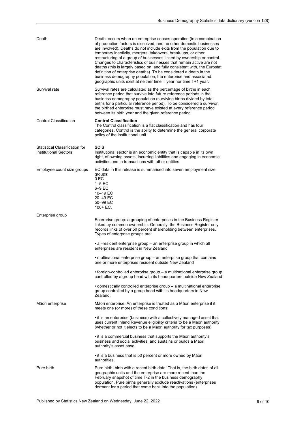| Death                                                                 | Death: occurs when an enterprise ceases operation (ie a combination<br>of production factors is dissolved, and no other domestic businesses<br>are involved). Deaths do not include exits from the population due to<br>temporary inactivity, mergers, takeovers, break-ups, or other<br>restructuring of a group of businesses linked by ownership or control.<br>Changes to characteristics of businesses that remain active are not<br>deaths (this is largely based on, and fully consistent with, the Eurostat<br>definition of enterprise deaths). To be considered a death in the<br>business demography population, the enterprise and associated<br>geographic units exist at neither time T year nor time T+1 year. |
|-----------------------------------------------------------------------|-------------------------------------------------------------------------------------------------------------------------------------------------------------------------------------------------------------------------------------------------------------------------------------------------------------------------------------------------------------------------------------------------------------------------------------------------------------------------------------------------------------------------------------------------------------------------------------------------------------------------------------------------------------------------------------------------------------------------------|
| Survival rate                                                         | Survival rates are calculated as the percentage of births in each<br>reference period that survive into future reference periods in the<br>business demography population (surviving births divided by total<br>births for a particular reference period). To be considered a survivor,<br>the birthed enterprise must have existed at every reference period<br>between its birth year and the given reference period.                                                                                                                                                                                                                                                                                                       |
| <b>Control Classification</b>                                         | <b>Control Classification</b><br>The Control classification is a flat classification and has four<br>categories. Control is the ability to determine the general corporate<br>policy of the institutional unit.                                                                                                                                                                                                                                                                                                                                                                                                                                                                                                               |
| <b>Statistical Classification for</b><br><b>Institutional Sectors</b> | <b>SCIS</b><br>Institutional sector is an economic entity that is capable in its own<br>right, of owning assets, incurring liabilities and engaging in economic<br>activities and in transactions with other entities                                                                                                                                                                                                                                                                                                                                                                                                                                                                                                         |
| Employee count size groups                                            | EC data in this release is summarised into seven employment size<br>groups:<br>0 EC<br>$1-5$ EC<br>6-9 EC<br>10-19 EC<br>20-49 EC<br>50-99 EC<br>$100 + EC.$                                                                                                                                                                                                                                                                                                                                                                                                                                                                                                                                                                  |
| Enterprise group                                                      | Enterprise group: a grouping of enterprises in the Business Register<br>linked by common ownership. Generally, the Business Register only<br>records links of over 50 percent shareholding between enterprises.<br>Types of enterprise groups are:                                                                                                                                                                                                                                                                                                                                                                                                                                                                            |
|                                                                       | • all-resident enterprise group – an enterprise group in which all<br>enterprises are resident in New Zealand                                                                                                                                                                                                                                                                                                                                                                                                                                                                                                                                                                                                                 |
|                                                                       | • multinational enterprise group – an enterprise group that contains<br>one or more enterprises resident outside New Zealand                                                                                                                                                                                                                                                                                                                                                                                                                                                                                                                                                                                                  |
|                                                                       | $\bullet$ foreign-controlled enterprise group $-$ a multinational enterprise group<br>controlled by a group head with its headquarters outside New Zealand                                                                                                                                                                                                                                                                                                                                                                                                                                                                                                                                                                    |
|                                                                       | • domestically controlled enterprise group – a multinational enterprise<br>group controlled by a group head with its headquarters in New<br>Zealand.                                                                                                                                                                                                                                                                                                                                                                                                                                                                                                                                                                          |
| Māori enterprise                                                      | Māori enterprise: An enterprise is treated as a Māori enterprise if it<br>meets one (or more) of these conditions:                                                                                                                                                                                                                                                                                                                                                                                                                                                                                                                                                                                                            |
|                                                                       | • it is an enterprise (business) with a collectively managed asset that<br>uses current Inland Revenue eligibility criteria to be a Māori authority<br>(whether or not it elects to be a Māori authority for tax purposes)                                                                                                                                                                                                                                                                                                                                                                                                                                                                                                    |
|                                                                       | • it is a commercial business that supports the Maori authority's<br>business and social activities, and sustains or builds a Māori<br>authority's asset base                                                                                                                                                                                                                                                                                                                                                                                                                                                                                                                                                                 |
|                                                                       | • it is a business that is 50 percent or more owned by Māori<br>authorities.                                                                                                                                                                                                                                                                                                                                                                                                                                                                                                                                                                                                                                                  |
| Pure birth                                                            | Pure birth: birth with a recent birth date. That is, the birth dates of all<br>geographic units and the enterprise are more recent than the<br>February snapshot of time T-2 in the business demography<br>population. Pure births generally exclude reactivations (enterprises<br>dormant for a period that come back into the population).                                                                                                                                                                                                                                                                                                                                                                                  |